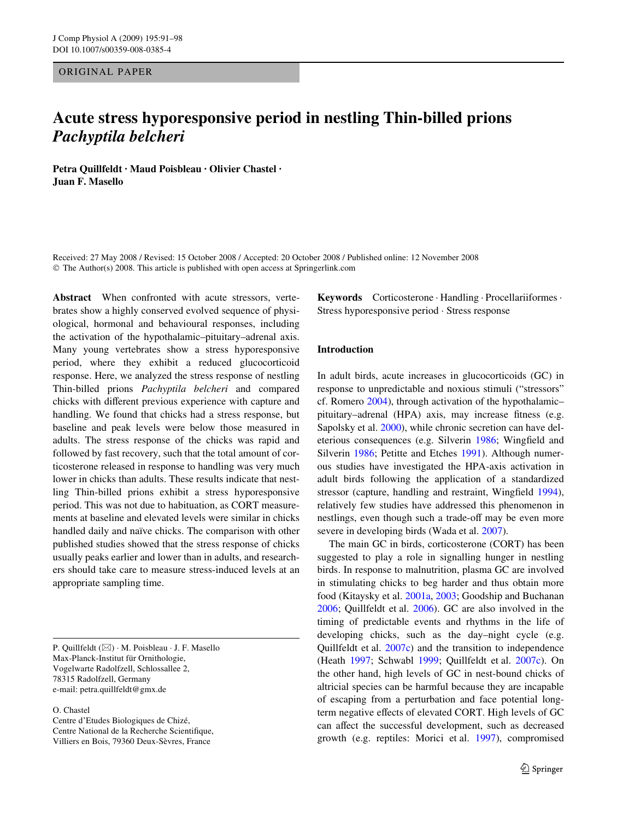## ORIGINAL PAPER

# **Acute stress hyporesponsive period in nestling Thin-billed prions**  *Pachyptila belcheri*

**Petra Quillfeldt · Maud Poisbleau · Olivier Chastel · Juan F. Masello** 

Received: 27 May 2008 / Revised: 15 October 2008 / Accepted: 20 October 2008 / Published online: 12 November 2008 © The Author(s) 2008. This article is published with open access at Springerlink.com

**Abstract** When confronted with acute stressors, vertebrates show a highly conserved evolved sequence of physiological, hormonal and behavioural responses, including the activation of the hypothalamic–pituitary–adrenal axis. Many young vertebrates show a stress hyporesponsive period, where they exhibit a reduced glucocorticoid response. Here, we analyzed the stress response of nestling Thin-billed prions *Pachyptila belcheri* and compared chicks with different previous experience with capture and handling. We found that chicks had a stress response, but baseline and peak levels were below those measured in adults. The stress response of the chicks was rapid and followed by fast recovery, such that the total amount of corticosterone released in response to handling was very much lower in chicks than adults. These results indicate that nestling Thin-billed prions exhibit a stress hyporesponsive period. This was not due to habituation, as CORT measurements at baseline and elevated levels were similar in chicks handled daily and naïve chicks. The comparison with other published studies showed that the stress response of chicks usually peaks earlier and lower than in adults, and researchers should take care to measure stress-induced levels at an appropriate sampling time.

P. Quillfeldt (&) · M. Poisbleau · J. F. Masello Max-Planck-Institut für Ornithologie, Vogelwarte Radolfzell, Schlossallee 2, 78315 Radolfzell, Germany e-mail: petra.quillfeldt@gmx.de

O. Chastel Centre d'Etudes Biologiques de Chizé, Centre National de la Recherche Scientifique, Villiers en Bois, 79360 Deux-Sèvres, France

**Keywords** Corticosterone · Handling · Procellariiformes · Stress hyporesponsive period · Stress response

## **Introduction**

In adult birds, acute increases in glucocorticoids (GC) in response to unpredictable and noxious stimuli ("stressors" cf. Romero [2004](#page-6-0)), through activation of the hypothalamic– pituitary–adrenal (HPA) axis, may increase fitness (e.g. Sapolsky et al. [2000](#page-7-0)), while chronic secretion can have del-eterious consequences (e.g. Silverin [1986;](#page-7-1) Wingfield and Silverin [1986](#page-7-2); Petitte and Etches [1991\)](#page-6-1). Although numerous studies have investigated the HPA-axis activation in adult birds following the application of a standardized stressor (capture, handling and restraint, Wingfield [1994](#page-7-3)), relatively few studies have addressed this phenomenon in nestlings, even though such a trade-off may be even more severe in developing birds (Wada et al. [2007\)](#page-7-4).

The main GC in birds, corticosterone (CORT) has been suggested to play a role in signalling hunger in nestling birds. In response to malnutrition, plasma GC are involved in stimulating chicks to beg harder and thus obtain more food (Kitaysky et al. [2001a](#page-6-2), [2003;](#page-6-3) Goodship and Buchanan [2006](#page-6-4); Quillfeldt et al. [2006\)](#page-6-5). GC are also involved in the timing of predictable events and rhythms in the life of developing chicks, such as the day–night cycle (e.g. Quillfeldt et al. [2007c\)](#page-6-6) and the transition to independence (Heath [1997;](#page-6-7) Schwabl [1999](#page-7-5); Quillfeldt et al. [2007c\)](#page-6-6). On the other hand, high levels of GC in nest-bound chicks of altricial species can be harmful because they are incapable of escaping from a perturbation and face potential longterm negative effects of elevated CORT. High levels of GC can affect the successful development, such as decreased growth (e.g. reptiles: Morici et al. [1997\)](#page-6-8), compromised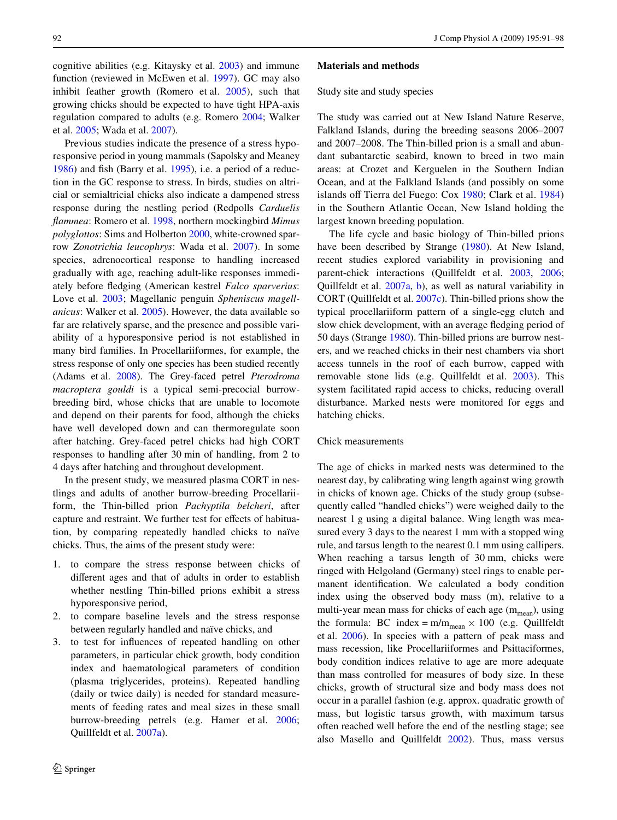cognitive abilities (e.g. Kitaysky et al. [2003](#page-6-3)) and immune function (reviewed in McEwen et al. [1997](#page-6-9)). GC may also inhibit feather growth (Romero et al. [2005](#page-7-6)), such that growing chicks should be expected to have tight HPA-axis regulation compared to adults (e.g. Romero [2004](#page-6-0); Walker et al. [2005;](#page-7-7) Wada et al. [2007\)](#page-7-4).

Previous studies indicate the presence of a stress hyporesponsive period in young mammals (Sapolsky and Meaney [1986](#page-7-8)) and fish (Barry et al.  $1995$ ), i.e. a period of a reduction in the GC response to stress. In birds, studies on altricial or semialtricial chicks also indicate a dampened stress response during the nestling period (Redpolls *Carduelis Xammea*: Romero et al. [1998](#page-7-9), northern mockingbird *Mimus polyglottos*: Sims and Holberton [2000](#page-7-10), white-crowned sparrow *Zonotrichia leucophrys*: Wada et al. [2007](#page-7-4)). In some species, adrenocortical response to handling increased gradually with age, reaching adult-like responses immediately before fledging (American kestrel *Falco sparverius*: Love et al. [2003;](#page-6-11) Magellanic penguin *Spheniscus magellanicus*: Walker et al. [2005\)](#page-7-7). However, the data available so far are relatively sparse, and the presence and possible variability of a hyporesponsive period is not established in many bird families. In Procellariiformes, for example, the stress response of only one species has been studied recently (Adams et al. [2008\)](#page-6-12). The Grey-faced petrel *Pterodroma macroptera gouldi* is a typical semi-precocial burrowbreeding bird, whose chicks that are unable to locomote and depend on their parents for food, although the chicks have well developed down and can thermoregulate soon after hatching. Grey-faced petrel chicks had high CORT responses to handling after 30 min of handling, from 2 to 4 days after hatching and throughout development.

In the present study, we measured plasma CORT in nestlings and adults of another burrow-breeding Procellariiform, the Thin-billed prion *Pachyptila belcheri*, after capture and restraint. We further test for effects of habituation, by comparing repeatedly handled chicks to naïve chicks. Thus, the aims of the present study were:

- 1. to compare the stress response between chicks of different ages and that of adults in order to establish whether nestling Thin-billed prions exhibit a stress hyporesponsive period,
- 2. to compare baseline levels and the stress response between regularly handled and naïve chicks, and
- 3. to test for influences of repeated handling on other parameters, in particular chick growth, body condition index and haematological parameters of condition (plasma triglycerides, proteins). Repeated handling (daily or twice daily) is needed for standard measurements of feeding rates and meal sizes in these small burrow-breeding petrels (e.g. Hamer et al. [2006](#page-6-13); Quillfeldt et al. [2007a\)](#page-6-14).

#### **Materials and methods**

#### Study site and study species

The study was carried out at New Island Nature Reserve, Falkland Islands, during the breeding seasons 2006–2007 and 2007–2008. The Thin-billed prion is a small and abundant subantarctic seabird, known to breed in two main areas: at Crozet and Kerguelen in the Southern Indian Ocean, and at the Falkland Islands (and possibly on some islands off Tierra del Fuego: Cox [1980](#page-6-15); Clark et al. [1984\)](#page-6-16) in the Southern Atlantic Ocean, New Island holding the largest known breeding population.

The life cycle and basic biology of Thin-billed prions have been described by Strange ([1980\)](#page-7-11). At New Island, recent studies explored variability in provisioning and parent-chick interactions (Quillfeldt et al. [2003](#page-6-17), [2006;](#page-6-5) Quillfeldt et al. [2007a,](#page-6-14) [b\)](#page-6-18), as well as natural variability in CORT (Quillfeldt et al. [2007c\)](#page-6-6). Thin-billed prions show the typical procellariiform pattern of a single-egg clutch and slow chick development, with an average fledging period of 50 days (Strange [1980\)](#page-7-11). Thin-billed prions are burrow nesters, and we reached chicks in their nest chambers via short access tunnels in the roof of each burrow, capped with removable stone lids (e.g. Quillfeldt et al. [2003\)](#page-6-17). This system facilitated rapid access to chicks, reducing overall disturbance. Marked nests were monitored for eggs and hatching chicks.

## Chick measurements

The age of chicks in marked nests was determined to the nearest day, by calibrating wing length against wing growth in chicks of known age. Chicks of the study group (subsequently called "handled chicks") were weighed daily to the nearest 1 g using a digital balance. Wing length was measured every 3 days to the nearest 1 mm with a stopped wing rule, and tarsus length to the nearest 0.1 mm using callipers. When reaching a tarsus length of 30 mm, chicks were ringed with Helgoland (Germany) steel rings to enable permanent identification. We calculated a body condition index using the observed body mass (m), relative to a multi-year mean mass for chicks of each age  $(m_{mean})$ , using the formula: BC index =  $m/m_{mean} \times 100$  (e.g. Quillfeldt et al. [2006](#page-6-5)). In species with a pattern of peak mass and mass recession, like Procellariiformes and Psittaciformes, body condition indices relative to age are more adequate than mass controlled for measures of body size. In these chicks, growth of structural size and body mass does not occur in a parallel fashion (e.g. approx. quadratic growth of mass, but logistic tarsus growth, with maximum tarsus often reached well before the end of the nestling stage; see also Masello and Quillfeldt [2002](#page-6-19)). Thus, mass versus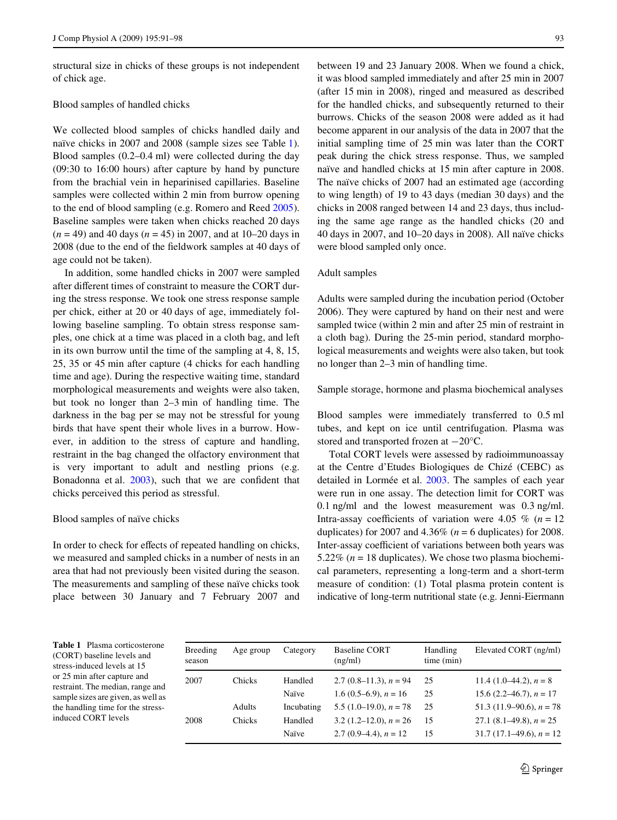structural size in chicks of these groups is not independent of chick age.

#### Blood samples of handled chicks

We collected blood samples of chicks handled daily and naïve chicks in 2007 and 2008 (sample sizes see Table [1](#page-2-0)). Blood samples (0.2–0.4 ml) were collected during the day (09:30 to 16:00 hours) after capture by hand by puncture from the brachial vein in heparinised capillaries. Baseline samples were collected within 2 min from burrow opening to the end of blood sampling (e.g. Romero and Reed [2005](#page-6-20)). Baseline samples were taken when chicks reached 20 days (*n* = 49) and 40 days (*n* = 45) in 2007, and at 10–20 days in 2008 (due to the end of the fieldwork samples at 40 days of age could not be taken).

In addition, some handled chicks in 2007 were sampled after different times of constraint to measure the CORT during the stress response. We took one stress response sample per chick, either at 20 or 40 days of age, immediately following baseline sampling. To obtain stress response samples, one chick at a time was placed in a cloth bag, and left in its own burrow until the time of the sampling at 4, 8, 15, 25, 35 or 45 min after capture (4 chicks for each handling time and age). During the respective waiting time, standard morphological measurements and weights were also taken, but took no longer than 2–3 min of handling time. The darkness in the bag per se may not be stressful for young birds that have spent their whole lives in a burrow. However, in addition to the stress of capture and handling, restraint in the bag changed the olfactory environment that is very important to adult and nestling prions (e.g. Bonadonna et al.  $2003$ ), such that we are confident that chicks perceived this period as stressful.

## Blood samples of naïve chicks

In order to check for effects of repeated handling on chicks, we measured and sampled chicks in a number of nests in an area that had not previously been visited during the season. The measurements and sampling of these naïve chicks took place between 30 January and 7 February 2007 and between 19 and 23 January 2008. When we found a chick, it was blood sampled immediately and after 25 min in 2007 (after 15 min in 2008), ringed and measured as described for the handled chicks, and subsequently returned to their burrows. Chicks of the season 2008 were added as it had become apparent in our analysis of the data in 2007 that the initial sampling time of 25 min was later than the CORT peak during the chick stress response. Thus, we sampled naïve and handled chicks at 15 min after capture in 2008. The naïve chicks of 2007 had an estimated age (according to wing length) of 19 to 43 days (median 30 days) and the chicks in 2008 ranged between 14 and 23 days, thus including the same age range as the handled chicks (20 and 40 days in 2007, and 10–20 days in 2008). All naïve chicks were blood sampled only once.

#### Adult samples

Adults were sampled during the incubation period (October 2006). They were captured by hand on their nest and were sampled twice (within 2 min and after 25 min of restraint in a cloth bag). During the 25-min period, standard morphological measurements and weights were also taken, but took no longer than 2–3 min of handling time.

### Sample storage, hormone and plasma biochemical analyses

Blood samples were immediately transferred to 0.5 ml tubes, and kept on ice until centrifugation. Plasma was stored and transported frozen at  $-20^{\circ}$ C.

Total CORT levels were assessed by radioimmunoassay at the Centre d'Etudes Biologiques de Chizé (CEBC) as detailed in Lormée et al. [2003](#page-6-22). The samples of each year were run in one assay. The detection limit for CORT was 0.1 ng/ml and the lowest measurement was 0.3 ng/ml. Intra-assay coefficients of variation were 4.05  $\%$  ( $n = 12$ ) duplicates) for 2007 and 4.36% (*n* = 6 duplicates) for 2008. Inter-assay coefficient of variations between both years was 5.22% (*n* = 18 duplicates). We chose two plasma biochemical parameters, representing a long-term and a short-term measure of condition: (1) Total plasma protein content is indicative of long-term nutritional state (e.g. Jenni-Eiermann

<span id="page-2-0"></span>**Table 1** Plasma corticosterone (CORT) baseline levels and stress-induced levels at 15 or 25 min after capture and restraint. The median, range and sample sizes are given, as well as the handling time for the stressinduced CORT levels

| Breeding<br>season | Age group     | Category   | <b>Baseline CORT</b><br>(ng/ml) | Handling<br>time (min) | Elevated CORT (ng/ml)        |
|--------------------|---------------|------------|---------------------------------|------------------------|------------------------------|
| 2007               | <b>Chicks</b> | Handled    | 2.7 $(0.8-11.3)$ , $n = 94$     | 25                     | 11.4 $(1.0-44.2)$ , $n = 8$  |
|                    |               | Naïve      | 1.6 $(0.5-6.9)$ , $n = 16$      | 25                     | 15.6 $(2.2-46.7)$ , $n = 17$ |
|                    | Adults        | Incubating | $5.5(1.0-19.0), n = 78$         | 25                     | 51.3 (11.9–90.6), $n = 78$   |
| 2008               | <b>Chicks</b> | Handled    | $3.2(1.2-12.0), n = 26$         | 15                     | 27.1 $(8.1-49.8)$ , $n = 25$ |
|                    |               | Naïve      | 2.7 $(0.9-4.4)$ , $n = 12$      | 15                     | $31.7(17.1-49.6)$ , $n = 12$ |
|                    |               |            |                                 |                        |                              |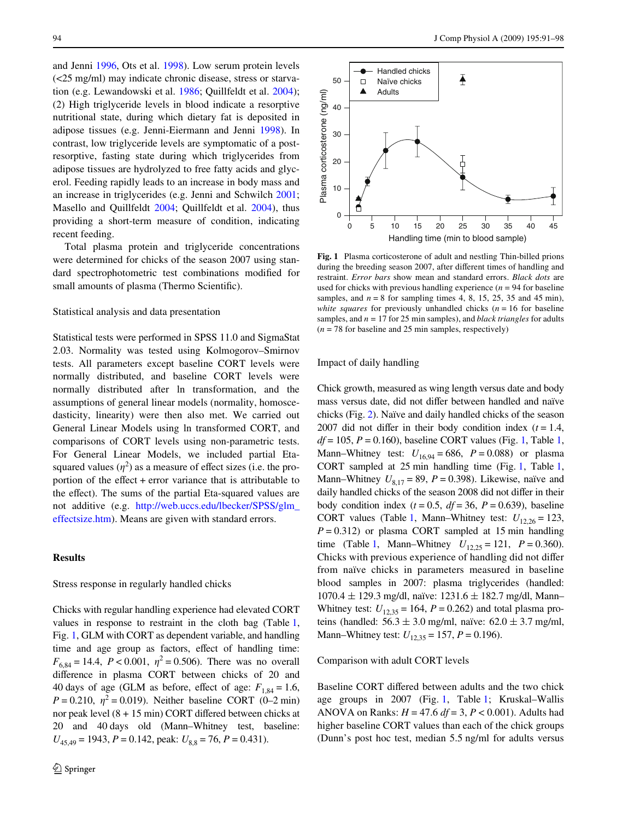and Jenni [1996](#page-6-23), Ots et al. [1998](#page-6-24)). Low serum protein levels (<25 mg/ml) may indicate chronic disease, stress or starvation (e.g. Lewandowski et al. [1986](#page-6-25); Quillfeldt et al. [2004](#page-6-26)); (2) High triglyceride levels in blood indicate a resorptive nutritional state, during which dietary fat is deposited in adipose tissues (e.g. Jenni-Eiermann and Jenni [1998\)](#page-6-27). In contrast, low triglyceride levels are symptomatic of a postresorptive, fasting state during which triglycerides from adipose tissues are hydrolyzed to free fatty acids and glycerol. Feeding rapidly leads to an increase in body mass and an increase in triglycerides (e.g. Jenni and Schwilch [2001](#page-6-28); Masello and Quillfeldt [2004;](#page-6-29) Quillfeldt et al. [2004\)](#page-6-26), thus providing a short-term measure of condition, indicating recent feeding.

Total plasma protein and triglyceride concentrations were determined for chicks of the season 2007 using standard spectrophotometric test combinations modified for small amounts of plasma (Thermo Scientific).

## Statistical analysis and data presentation

Statistical tests were performed in SPSS 11.0 and SigmaStat 2.03. Normality was tested using Kolmogorov–Smirnov tests. All parameters except baseline CORT levels were normally distributed, and baseline CORT levels were normally distributed after ln transformation, and the assumptions of general linear models (normality, homoscedasticity, linearity) were then also met. We carried out General Linear Models using ln transformed CORT, and comparisons of CORT levels using non-parametric tests. For General Linear Models, we included partial Etasquared values  $(\eta^2)$  as a measure of effect sizes (i.e. the proportion of the effect  $+$  error variance that is attributable to the effect). The sums of the partial Eta-squared values are not additive (e.g. [http://web.uccs.edu/lbecker/SPSS/glm\\_](http://web.uccs.edu/lbecker/SPSS/glm_effectsize.htm) [effectsize.htm](http://web.uccs.edu/lbecker/SPSS/glm_effectsize.htm)). Means are given with standard errors.

#### **Results**

Stress response in regularly handled chicks

Chicks with regular handling experience had elevated CORT values in response to restraint in the cloth bag (Table [1,](#page-2-0) Fig. [1,](#page-3-0) GLM with CORT as dependent variable, and handling time and age group as factors, effect of handling time:  $F_{6,84} = 14.4$ ,  $P < 0.001$ ,  $\eta^2 = 0.506$ ). There was no overall difference in plasma CORT between chicks of 20 and 40 days of age (GLM as before, effect of age:  $F_{1,84} = 1.6$ , *P* = 0.210,  $\eta^2$  = 0.019). Neither baseline CORT (0–2 min) nor peak level  $(8 + 15 \text{ min})$  CORT differed between chicks at 20 and 40 days old (Mann–Whitney test, baseline:  $U_{45,49} = 1943, P = 0.142,$  peak:  $U_{8,8} = 76, P = 0.431$ .



<span id="page-3-0"></span>**Fig. 1** Plasma corticosterone of adult and nestling Thin-billed prions during the breeding season 2007, after different times of handling and restraint. *Error bars* show mean and standard errors. *Black dots* are used for chicks with previous handling experience  $(n = 94$  for baseline samples, and  $n = 8$  for sampling times 4, 8, 15, 25, 35 and 45 min), *white squares* for previously unhandled chicks  $(n = 16$  for baseline samples, and *n* = 17 for 25 min samples), and *black triangles* for adults (*n* = 78 for baseline and 25 min samples, respectively)

## Impact of daily handling

Chick growth, measured as wing length versus date and body mass versus date, did not differ between handled and naïve chicks (Fig. [2\)](#page-4-0). Naïve and daily handled chicks of the season 2007 did not differ in their body condition index  $(t = 1.4,$  $df = 105$  $df = 105$  $df = 105$ ,  $P = 0.160$ ), baseline CORT values (Fig. [1,](#page-2-0) Table 1, Mann–Whitney test:  $U_{16,94} = 686$ ,  $P = 0.088$ ) or plasma CORT sampled at 25 min handling time (Fig. [1](#page-3-0), Table [1,](#page-2-0) Mann–Whitney  $U_{8,17} = 89$ ,  $P = 0.398$ ). Likewise, naïve and daily handled chicks of the season 2008 did not differ in their body condition index  $(t = 0.5, df = 36, P = 0.639)$ , baseline CORT values (Table [1,](#page-2-0) Mann–Whitney test:  $U_{12,26} = 123$ ,  $P = 0.312$ ) or plasma CORT sampled at 15 min handling time (Table [1,](#page-2-0) Mann–Whitney  $U_{12,25} = 121$ ,  $P = 0.360$ ). Chicks with previous experience of handling did not differ from naïve chicks in parameters measured in baseline blood samples in 2007: plasma triglycerides (handled:  $1070.4 \pm 129.3$  mg/dl, naïve:  $1231.6 \pm 182.7$  mg/dl, Mann-Whitney test:  $U_{12,35} = 164$ ,  $P = 0.262$ ) and total plasma proteins (handled:  $56.3 \pm 3.0$  mg/ml, naïve:  $62.0 \pm 3.7$  mg/ml, Mann–Whitney test:  $U_{12,35} = 157$ ,  $P = 0.196$ ).

#### Comparison with adult CORT levels

Baseline CORT differed between adults and the two chick age groups in 2007 (Fig. [1](#page-3-0), Table [1](#page-2-0); Kruskal–Wallis ANOVA on Ranks: *H* = 47.6 *df* = 3, *P* < 0.001). Adults had higher baseline CORT values than each of the chick groups (Dunn's post hoc test, median 5.5 ng/ml for adults versus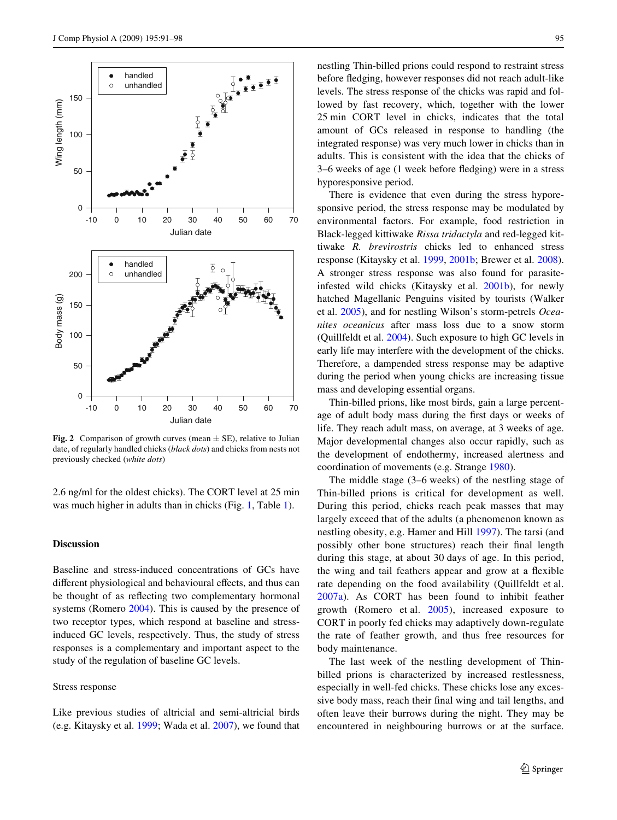

<span id="page-4-0"></span>**Fig. 2** Comparison of growth curves (mean  $\pm$  SE), relative to Julian date, of regularly handled chicks (*black dots*) and chicks from nests not previously checked (*white dots*)

2.6 ng/ml for the oldest chicks). The CORT level at 25 min was much higher in adults than in chicks (Fig. [1](#page-3-0), Table [1](#page-2-0)).

### **Discussion**

Baseline and stress-induced concentrations of GCs have different physiological and behavioural effects, and thus can be thought of as reflecting two complementary hormonal systems (Romero [2004](#page-6-0)). This is caused by the presence of two receptor types, which respond at baseline and stressinduced GC levels, respectively. Thus, the study of stress responses is a complementary and important aspect to the study of the regulation of baseline GC levels.

## Stress response

Like previous studies of altricial and semi-altricial birds (e.g. Kitaysky et al. [1999](#page-6-30); Wada et al. [2007](#page-7-4)), we found that nestling Thin-billed prions could respond to restraint stress before fledging, however responses did not reach adult-like levels. The stress response of the chicks was rapid and followed by fast recovery, which, together with the lower 25 min CORT level in chicks, indicates that the total amount of GCs released in response to handling (the integrated response) was very much lower in chicks than in adults. This is consistent with the idea that the chicks of 3–6 weeks of age (1 week before fledging) were in a stress hyporesponsive period.

There is evidence that even during the stress hyporesponsive period, the stress response may be modulated by environmental factors. For example, food restriction in Black-legged kittiwake *Rissa tridactyla* and red-legged kittiwake *R. brevirostris* chicks led to enhanced stress response (Kitaysky et al. [1999](#page-6-30), [2001b;](#page-6-31) Brewer et al. [2008](#page-6-32)). A stronger stress response was also found for parasiteinfested wild chicks (Kitaysky et al. [2001b\)](#page-6-31), for newly hatched Magellanic Penguins visited by tourists (Walker et al. [2005\)](#page-7-7), and for nestling Wilson's storm-petrels *Oceanites oceanicus* after mass loss due to a snow storm (Quillfeldt et al. [2004](#page-6-26)). Such exposure to high GC levels in early life may interfere with the development of the chicks. Therefore, a dampended stress response may be adaptive during the period when young chicks are increasing tissue mass and developing essential organs.

Thin-billed prions, like most birds, gain a large percentage of adult body mass during the first days or weeks of life. They reach adult mass, on average, at 3 weeks of age. Major developmental changes also occur rapidly, such as the development of endothermy, increased alertness and coordination of movements (e.g. Strange [1980\)](#page-7-11).

The middle stage (3–6 weeks) of the nestling stage of Thin-billed prions is critical for development as well. During this period, chicks reach peak masses that may largely exceed that of the adults (a phenomenon known as nestling obesity, e.g. Hamer and Hill [1997](#page-6-33)). The tarsi (and possibly other bone structures) reach their final length during this stage, at about 30 days of age. In this period, the wing and tail feathers appear and grow at a flexible rate depending on the food availability (Quillfeldt et al. [2007a](#page-6-14)). As CORT has been found to inhibit feather growth (Romero et al. [2005](#page-7-6)), increased exposure to CORT in poorly fed chicks may adaptively down-regulate the rate of feather growth, and thus free resources for body maintenance.

The last week of the nestling development of Thinbilled prions is characterized by increased restlessness, especially in well-fed chicks. These chicks lose any excessive body mass, reach their final wing and tail lengths, and often leave their burrows during the night. They may be encountered in neighbouring burrows or at the surface.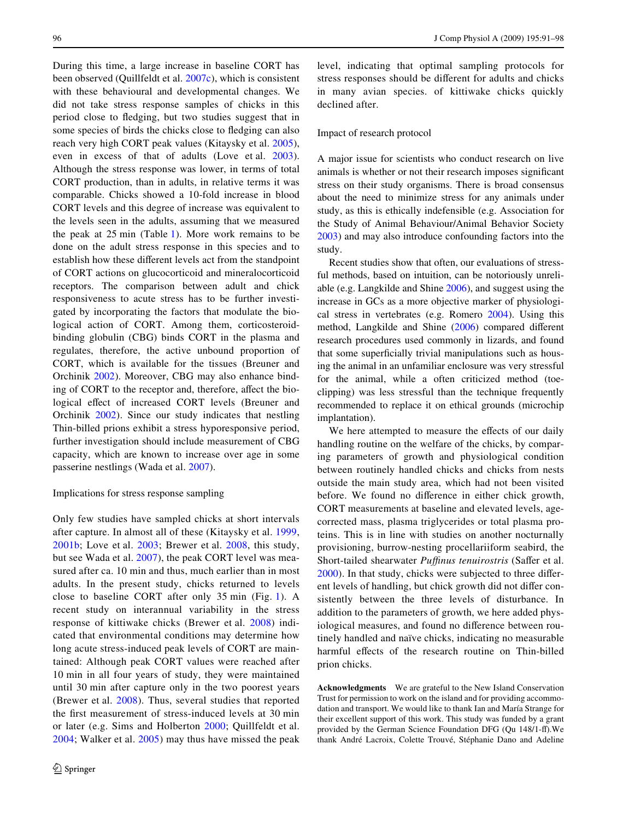During this time, a large increase in baseline CORT has been observed (Quillfeldt et al. [2007c\)](#page-6-6), which is consistent with these behavioural and developmental changes. We did not take stress response samples of chicks in this period close to fledging, but two studies suggest that in some species of birds the chicks close to fledging can also reach very high CORT peak values (Kitaysky et al. [2005](#page-6-34)), even in excess of that of adults (Love et al. [2003](#page-6-11)). Although the stress response was lower, in terms of total CORT production, than in adults, in relative terms it was comparable. Chicks showed a 10-fold increase in blood CORT levels and this degree of increase was equivalent to the levels seen in the adults, assuming that we measured the peak at 25 min (Table [1\)](#page-2-0). More work remains to be done on the adult stress response in this species and to establish how these different levels act from the standpoint of CORT actions on glucocorticoid and mineralocorticoid receptors. The comparison between adult and chick responsiveness to acute stress has to be further investigated by incorporating the factors that modulate the biological action of CORT. Among them, corticosteroidbinding globulin (CBG) binds CORT in the plasma and regulates, therefore, the active unbound proportion of CORT, which is available for the tissues (Breuner and Orchinik [2002\)](#page-6-35). Moreover, CBG may also enhance binding of CORT to the receptor and, therefore, affect the biological effect of increased CORT levels (Breuner and Orchinik [2002](#page-6-35)). Since our study indicates that nestling Thin-billed prions exhibit a stress hyporesponsive period, further investigation should include measurement of CBG capacity, which are known to increase over age in some passerine nestlings (Wada et al. [2007](#page-7-4)).

#### Implications for stress response sampling

Only few studies have sampled chicks at short intervals after capture. In almost all of these (Kitaysky et al. [1999,](#page-6-30) [2001b;](#page-6-31) Love et al. [2003](#page-6-11); Brewer et al. [2008,](#page-6-32) this study, but see Wada et al. [2007](#page-7-4)), the peak CORT level was measured after ca. 10 min and thus, much earlier than in most adults. In the present study, chicks returned to levels close to baseline CORT after only 35 min (Fig. [1\)](#page-3-0). A recent study on interannual variability in the stress response of kittiwake chicks (Brewer et al. [2008\)](#page-6-32) indicated that environmental conditions may determine how long acute stress-induced peak levels of CORT are maintained: Although peak CORT values were reached after 10 min in all four years of study, they were maintained until 30 min after capture only in the two poorest years (Brewer et al. [2008](#page-6-32)). Thus, several studies that reported the first measurement of stress-induced levels at 30 min or later (e.g. Sims and Holberton [2000;](#page-7-10) Quillfeldt et al. [2004;](#page-6-26) Walker et al. [2005](#page-7-7)) may thus have missed the peak level, indicating that optimal sampling protocols for stress responses should be different for adults and chicks in many avian species. of kittiwake chicks quickly declined after.

#### Impact of research protocol

A major issue for scientists who conduct research on live animals is whether or not their research imposes significant stress on their study organisms. There is broad consensus about the need to minimize stress for any animals under study, as this is ethically indefensible (e.g. Association for the Study of Animal Behaviour/Animal Behavior Society [2003](#page-6-36)) and may also introduce confounding factors into the study.

Recent studies show that often, our evaluations of stressful methods, based on intuition, can be notoriously unreliable (e.g. Langkilde and Shine [2006](#page-6-37)), and suggest using the increase in GCs as a more objective marker of physiological stress in vertebrates (e.g. Romero [2004\)](#page-6-0). Using this method, Langkilde and Shine  $(2006)$  $(2006)$  compared different research procedures used commonly in lizards, and found that some superficially trivial manipulations such as housing the animal in an unfamiliar enclosure was very stressful for the animal, while a often criticized method (toeclipping) was less stressful than the technique frequently recommended to replace it on ethical grounds (microchip implantation).

We here attempted to measure the effects of our daily handling routine on the welfare of the chicks, by comparing parameters of growth and physiological condition between routinely handled chicks and chicks from nests outside the main study area, which had not been visited before. We found no difference in either chick growth, CORT measurements at baseline and elevated levels, agecorrected mass, plasma triglycerides or total plasma proteins. This is in line with studies on another nocturnally provisioning, burrow-nesting procellariiform seabird, the Short-tailed shearwater *Puffinus tenuirostris* (Saffer et al.  $2000$ ). In that study, chicks were subjected to three different levels of handling, but chick growth did not differ consistently between the three levels of disturbance. In addition to the parameters of growth, we here added physiological measures, and found no difference between routinely handled and naïve chicks, indicating no measurable harmful effects of the research routine on Thin-billed prion chicks.

**Acknowledgments** We are grateful to the New Island Conservation Trust for permission to work on the island and for providing accommodation and transport. We would like to thank Ian and María Strange for their excellent support of this work. This study was funded by a grant provided by the German Science Foundation DFG (Qu 148/1-ff). We thank André Lacroix, Colette Trouvé, Stéphanie Dano and Adeline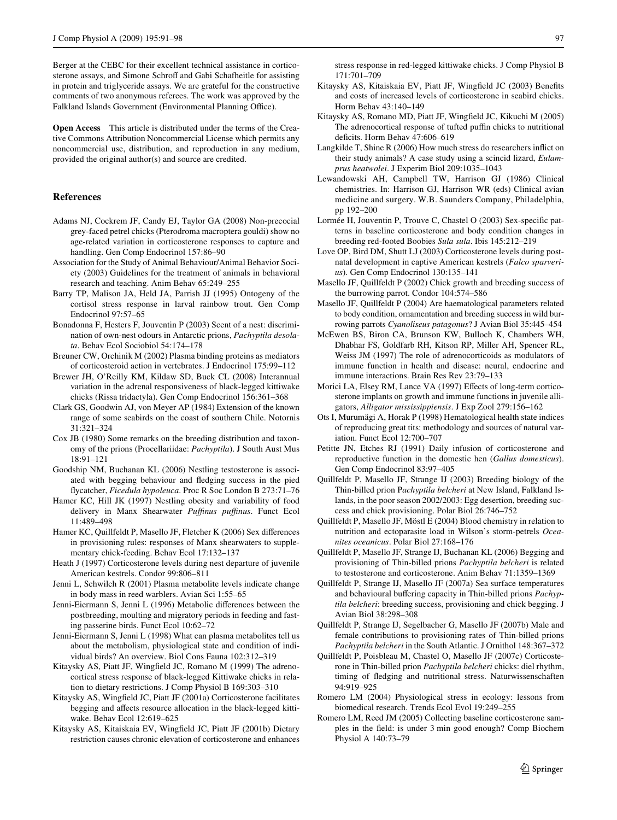Berger at the CEBC for their excellent technical assistance in corticosterone assays, and Simone Schroff and Gabi Schafheitle for assisting in protein and triglyceride assays. We are grateful for the constructive comments of two anonymous referees. The work was approved by the Falkland Islands Government (Environmental Planning Office).

**Open Access** This article is distributed under the terms of the Creative Commons Attribution Noncommercial License which permits any noncommercial use, distribution, and reproduction in any medium, provided the original author(s) and source are credited.

## **References**

- <span id="page-6-12"></span>Adams NJ, Cockrem JF, Candy EJ, Taylor GA (2008) Non-precocial grey-faced petrel chicks (Pterodroma macroptera gouldi) show no age-related variation in corticosterone responses to capture and handling. Gen Comp Endocrinol 157:86–90
- <span id="page-6-36"></span>Association for the Study of Animal Behaviour/Animal Behavior Society (2003) Guidelines for the treatment of animals in behavioral research and teaching. Anim Behav 65:249–255
- <span id="page-6-10"></span>Barry TP, Malison JA, Held JA, Parrish JJ (1995) Ontogeny of the cortisol stress response in larval rainbow trout. Gen Comp Endocrinol 97:57–65
- <span id="page-6-21"></span>Bonadonna F, Hesters F, Jouventin P (2003) Scent of a nest: discrimination of own-nest odours in Antarctic prions, *Pachyptila desolata*. Behav Ecol Sociobiol 54:174–178
- <span id="page-6-35"></span>Breuner CW, Orchinik M (2002) Plasma binding proteins as mediators of corticosteroid action in vertebrates. J Endocrinol 175:99–112
- <span id="page-6-32"></span>Brewer JH, O'Reilly KM, Kildaw SD, Buck CL (2008) Interannual variation in the adrenal responsiveness of black-legged kittiwake chicks (Rissa tridactyla). Gen Comp Endocrinol 156:361–368
- <span id="page-6-16"></span>Clark GS, Goodwin AJ, von Meyer AP (1984) Extension of the known range of some seabirds on the coast of southern Chile. Notornis 31:321–324
- <span id="page-6-15"></span>Cox JB (1980) Some remarks on the breeding distribution and taxonomy of the prions (Procellariidae: *Pachyptila*). J South Aust Mus 18:91–121
- <span id="page-6-4"></span>Goodship NM, Buchanan KL (2006) Nestling testosterone is associated with begging behaviour and fledging success in the pied Xycatcher, *Ficedula hypoleuca*. Proc R Soc London B 273:71–76
- <span id="page-6-33"></span>Hamer KC, Hill JK (1997) Nestling obesity and variability of food delivery in Manx Shearwater *PuYnus puYnus*. Funct Ecol 11:489–498
- <span id="page-6-13"></span>Hamer KC, Quillfeldt P, Masello JF, Fletcher K (2006) Sex differences in provisioning rules: responses of Manx shearwaters to supplementary chick-feeding. Behav Ecol 17:132–137
- <span id="page-6-7"></span>Heath J (1997) Corticosterone levels during nest departure of juvenile American kestrels. Condor 99:806–811
- <span id="page-6-28"></span>Jenni L, Schwilch R (2001) Plasma metabolite levels indicate change in body mass in reed warblers. Avian Sci 1:55–65
- <span id="page-6-23"></span>Jenni-Eiermann S, Jenni L (1996) Metabolic differences between the postbreeding, moulting and migratory periods in feeding and fasting passerine birds. Funct Ecol 10:62–72
- <span id="page-6-27"></span>Jenni-Eiermann S, Jenni L (1998) What can plasma metabolites tell us about the metabolism, physiological state and condition of individual birds? An overview. Biol Cons Fauna 102:312–319
- <span id="page-6-30"></span>Kitaysky AS, Piatt JF, Wingfield JC, Romano M (1999) The adrenocortical stress response of black-legged Kittiwake chicks in relation to dietary restrictions. J Comp Physiol B 169:303–310
- <span id="page-6-2"></span>Kitaysky AS, Wingfield JC, Piatt JF (2001a) Corticosterone facilitates begging and affects resource allocation in the black-legged kittiwake. Behav Ecol 12:619–625
- <span id="page-6-31"></span>Kitaysky AS, Kitaiskaia EV, Wingfield JC, Piatt JF (2001b) Dietary restriction causes chronic elevation of corticosterone and enhances

stress response in red-legged kittiwake chicks. J Comp Physiol B 171:701–709

- <span id="page-6-3"></span>Kitaysky AS, Kitaiskaia EV, Piatt JF, Wingfield JC (2003) Benefits and costs of increased levels of corticosterone in seabird chicks. Horm Behav 43:140–149
- <span id="page-6-34"></span>Kitaysky AS, Romano MD, Piatt JF, Wingfield JC, Kikuchi M (2005) The adrenocortical response of tufted puffin chicks to nutritional deficits. Horm Behav 47:606-619
- <span id="page-6-37"></span>Langkilde T, Shine R  $(2006)$  How much stress do researchers inflict on their study animals? A case study using a scincid lizard, *Eulamprus heatwolei*. J Experim Biol 209:1035–1043
- <span id="page-6-25"></span>Lewandowski AH, Campbell TW, Harrison GJ (1986) Clinical chemistries. In: Harrison GJ, Harrison WR (eds) Clinical avian medicine and surgery. W.B. Saunders Company, Philadelphia, pp 192–200
- <span id="page-6-22"></span>Lormée H, Jouventin P, Trouve C, Chastel O (2003) Sex-specific patterns in baseline corticosterone and body condition changes in breeding red-footed Boobies *Sula sula*. Ibis 145:212–219
- <span id="page-6-11"></span>Love OP, Bird DM, Shutt LJ (2003) Corticosterone levels during postnatal development in captive American kestrels (*Falco sparverius*). Gen Comp Endocrinol 130:135–141
- <span id="page-6-19"></span>Masello JF, Quillfeldt P (2002) Chick growth and breeding success of the burrowing parrot. Condor 104:574–586
- <span id="page-6-29"></span>Masello JF, Quillfeldt P (2004) Are haematological parameters related to body condition, ornamentation and breeding success in wild burrowing parrots *Cyanoliseus patagonus*? J Avian Biol 35:445–454
- <span id="page-6-9"></span>McEwen BS, Biron CA, Brunson KW, Bulloch K, Chambers WH, Dhabhar FS, Goldfarb RH, Kitson RP, Miller AH, Spencer RL, Weiss JM (1997) The role of adrenocorticoids as modulators of immune function in health and disease: neural, endocrine and immune interactions. Brain Res Rev 23:79–133
- <span id="page-6-8"></span>Morici LA, Elsey RM, Lance VA (1997) Effects of long-term corticosterone implants on growth and immune functions in juvenile alligators, *Alligator mississippiensis*. J Exp Zool 279:156–162
- <span id="page-6-24"></span>Ots I, Murumägi A, Horak P (1998) Hematological health state indices of reproducing great tits: methodology and sources of natural variation. Funct Ecol 12:700–707
- <span id="page-6-1"></span>Petitte JN, Etches RJ (1991) Daily infusion of corticosterone and reproductive function in the domestic hen (*Gallus domesticus*). Gen Comp Endocrinol 83:97–405
- <span id="page-6-17"></span>Quillfeldt P, Masello JF, Strange IJ (2003) Breeding biology of the Thin-billed prion P*achyptila belcheri* at New Island, Falkland Islands, in the poor season 2002/2003: Egg desertion, breeding success and chick provisioning. Polar Biol 26:746–752
- <span id="page-6-26"></span>Quillfeldt P, Masello JF, Möstl E (2004) Blood chemistry in relation to nutrition and ectoparasite load in Wilson's storm-petrels *Oceanites oceanicus*. Polar Biol 27:168–176
- <span id="page-6-5"></span>Quillfeldt P, Masello JF, Strange IJ, Buchanan KL (2006) Begging and provisioning of Thin-billed prions *Pachyptila belcheri* is related to testosterone and corticosterone. Anim Behav 71:1359–1369
- <span id="page-6-14"></span>Quillfeldt P, Strange IJ, Masello JF (2007a) Sea surface temperatures and behavioural buffering capacity in Thin-billed prions *Pachyptila belcheri*: breeding success, provisioning and chick begging. J Avian Biol 38:298–308
- <span id="page-6-18"></span>Quillfeldt P, Strange IJ, Segelbacher G, Masello JF (2007b) Male and female contributions to provisioning rates of Thin-billed prions *Pachyptila belcheri* in the South Atlantic. J Ornithol 148:367–372
- <span id="page-6-6"></span>Quillfeldt P, Poisbleau M, Chastel O, Masello JF (2007c) Corticosterone in Thin-billed prion *Pachyptila belcheri* chicks: diel rhythm, timing of fledging and nutritional stress. Naturwissenschaften 94:919–925
- <span id="page-6-0"></span>Romero LM (2004) Physiological stress in ecology: lessons from biomedical research. Trends Ecol Evol 19:249–255
- <span id="page-6-20"></span>Romero LM, Reed JM (2005) Collecting baseline corticosterone samples in the field: is under 3 min good enough? Comp Biochem Physiol A 140:73–79